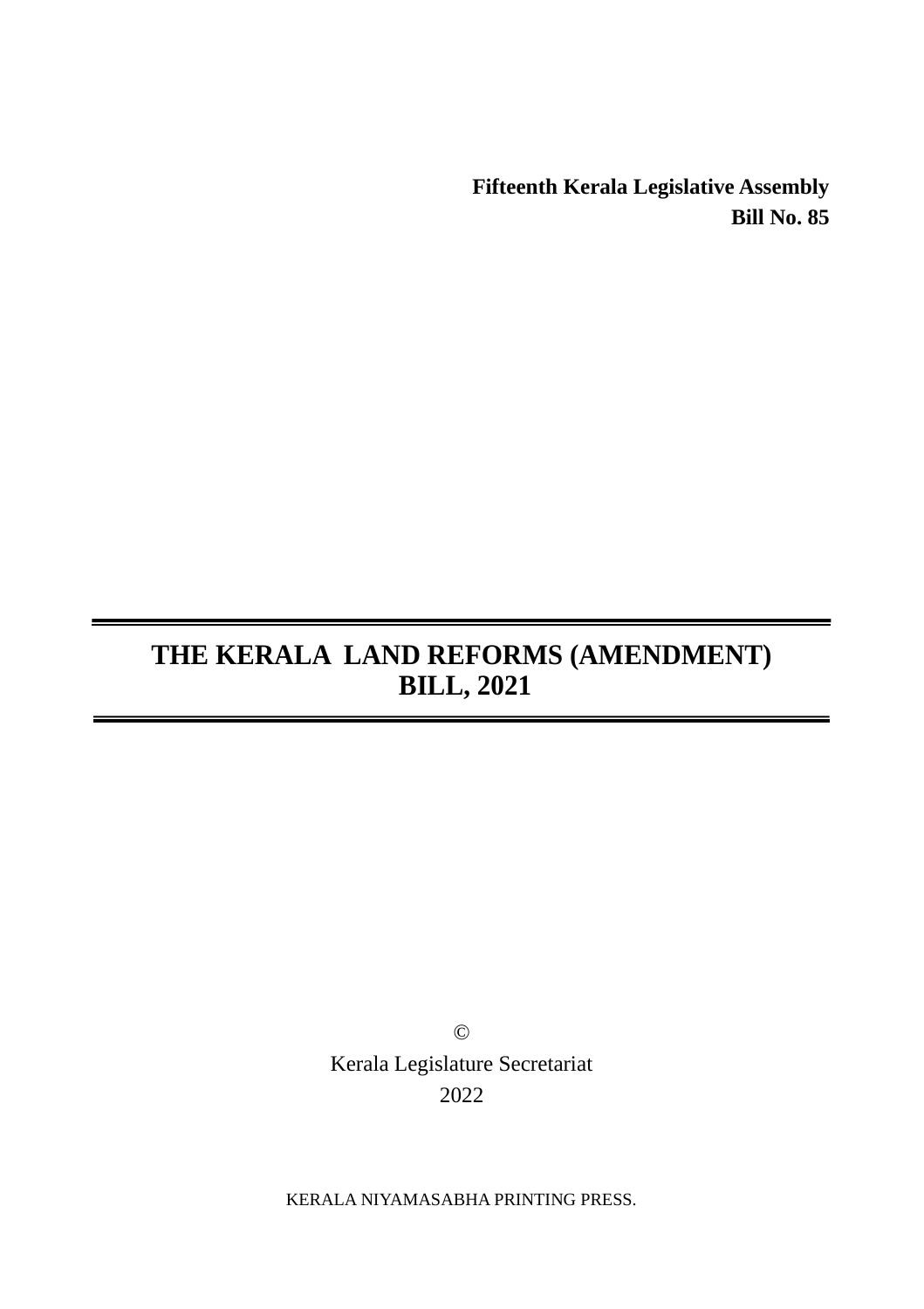**Fifteenth Kerala Legislative Assembly Bill No. 85**

# **THE KERALA LAND REFORMS (AMENDMENT) BILL, 2021**

© Kerala Legislature Secretariat 2022

KERALA NIYAMASABHA PRINTING PRESS.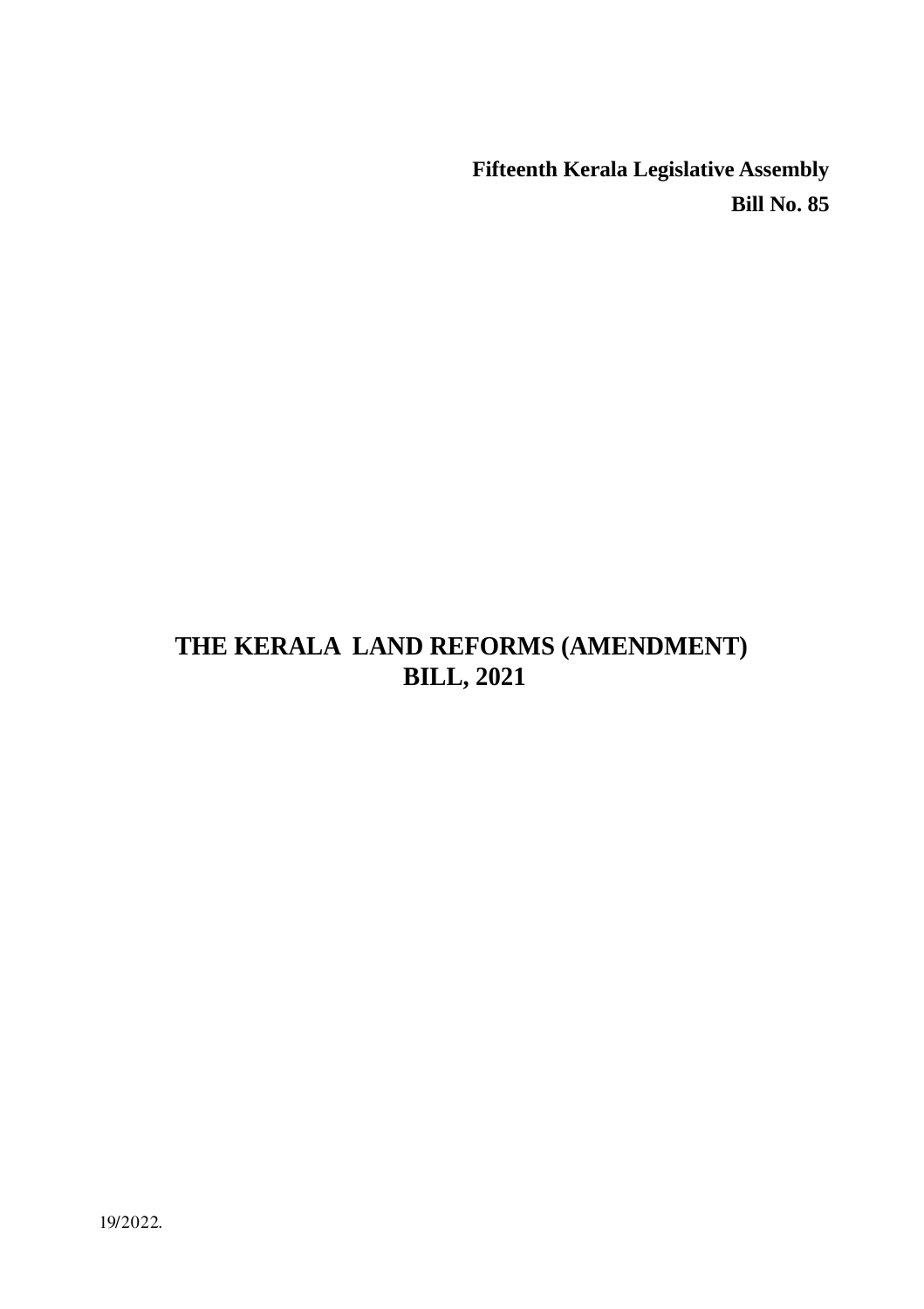**Fifteenth Kerala Legislative Assembly Bill No. 85**

## **THE KERALA LAND REFORMS (AMENDMENT) BILL, 2021**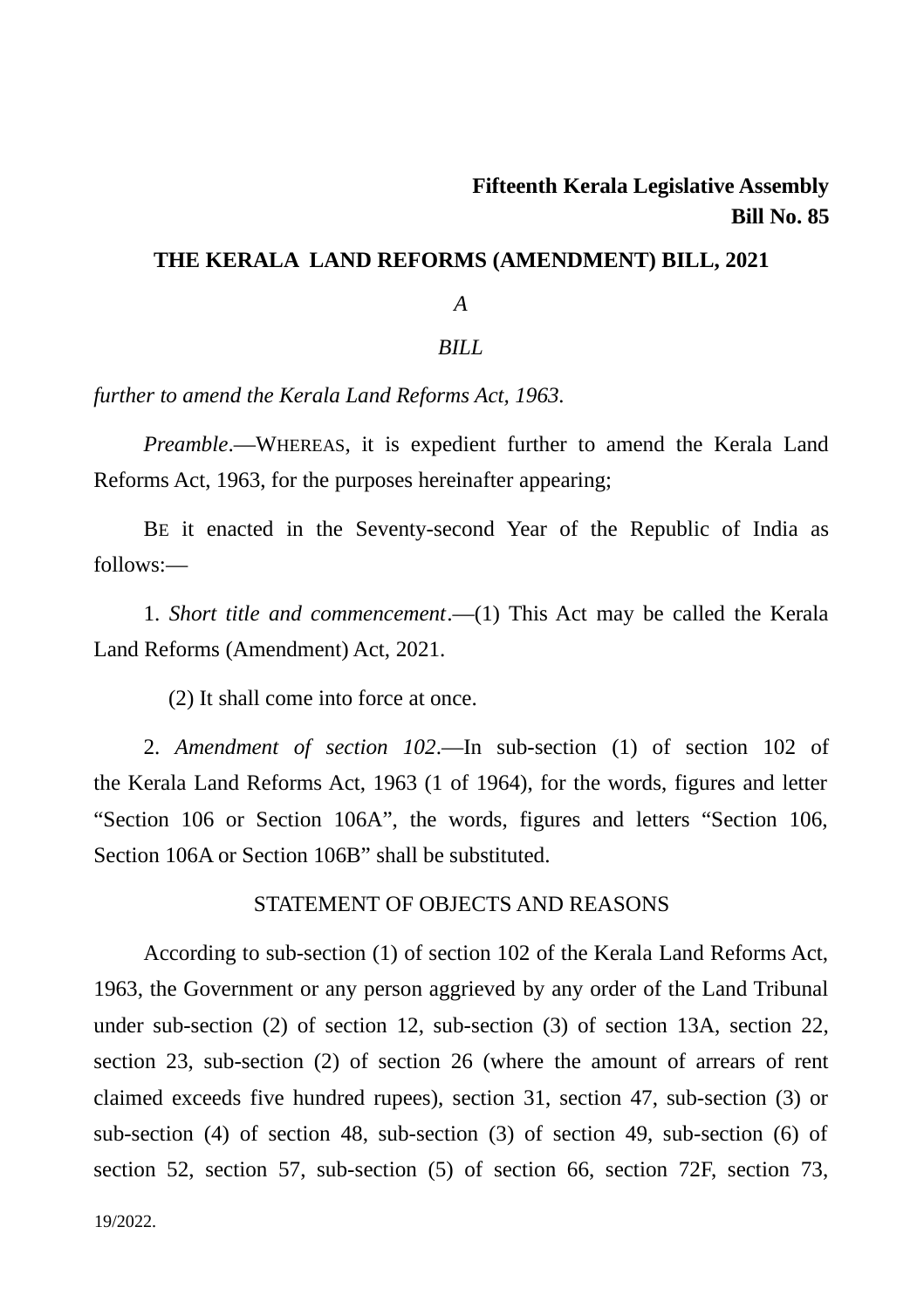### **Fifteenth Kerala Legislative Assembly Bill No. 85**

#### **THE KERALA LAND REFORMS (AMENDMENT) BILL, 2021**

#### *A*

#### *BILL*

*further to amend the Kerala Land Reforms Act, 1963.*

*Preamble*.―WHEREAS, it is expedient further to amend the Kerala Land Reforms Act, 1963, for the purposes hereinafter appearing;

BE it enacted in the Seventy-second Year of the Republic of India as follows:―

1. *Short title and commencement*.―(1) This Act may be called the Kerala Land Reforms (Amendment) Act, 2021.

(2) It shall come into force at once.

2. *Amendment of section 102*.―In sub-section (1) of section 102 of the Kerala Land Reforms Act, 1963 (1 of 1964), for the words, figures and letter "Section 106 or Section 106A", the words, figures and letters "Section 106, Section 106A or Section 106B" shall be substituted.

#### STATEMENT OF OBJECTS AND REASONS

According to sub-section (1) of section 102 of the Kerala Land Reforms Act, 1963, the Government or any person aggrieved by any order of the Land Tribunal under sub-section (2) of section 12, sub-section (3) of section 13A, section 22, section 23, sub-section (2) of section 26 (where the amount of arrears of rent claimed exceeds five hundred rupees), section 31, section 47, sub-section (3) or sub-section (4) of section 48, sub-section (3) of section 49, sub-section (6) of section 52, section 57, sub-section (5) of section 66, section 72F, section 73,

19/2022.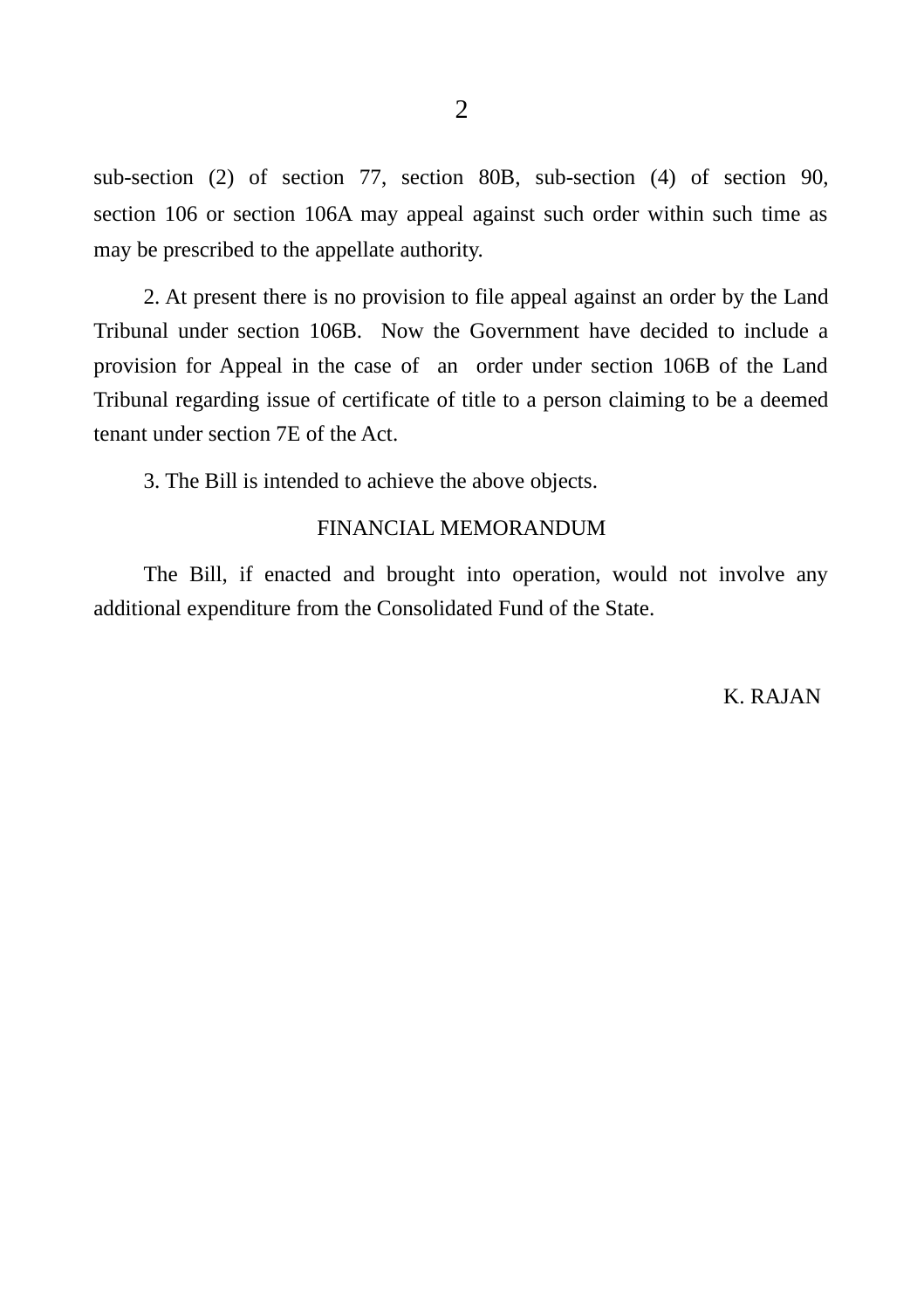sub-section (2) of section 77, section 80B, sub-section (4) of section 90, section 106 or section 106A may appeal against such order within such time as may be prescribed to the appellate authority.

2. At present there is no provision to file appeal against an order by the Land Tribunal under section 106B. Now the Government have decided to include a provision for Appeal in the case of an order under section 106B of the Land Tribunal regarding issue of certificate of title to a person claiming to be a deemed tenant under section 7E of the Act.

3. The Bill is intended to achieve the above objects.

#### FINANCIAL MEMORANDUM

The Bill, if enacted and brought into operation, would not involve any additional expenditure from the Consolidated Fund of the State.

K. RAJAN